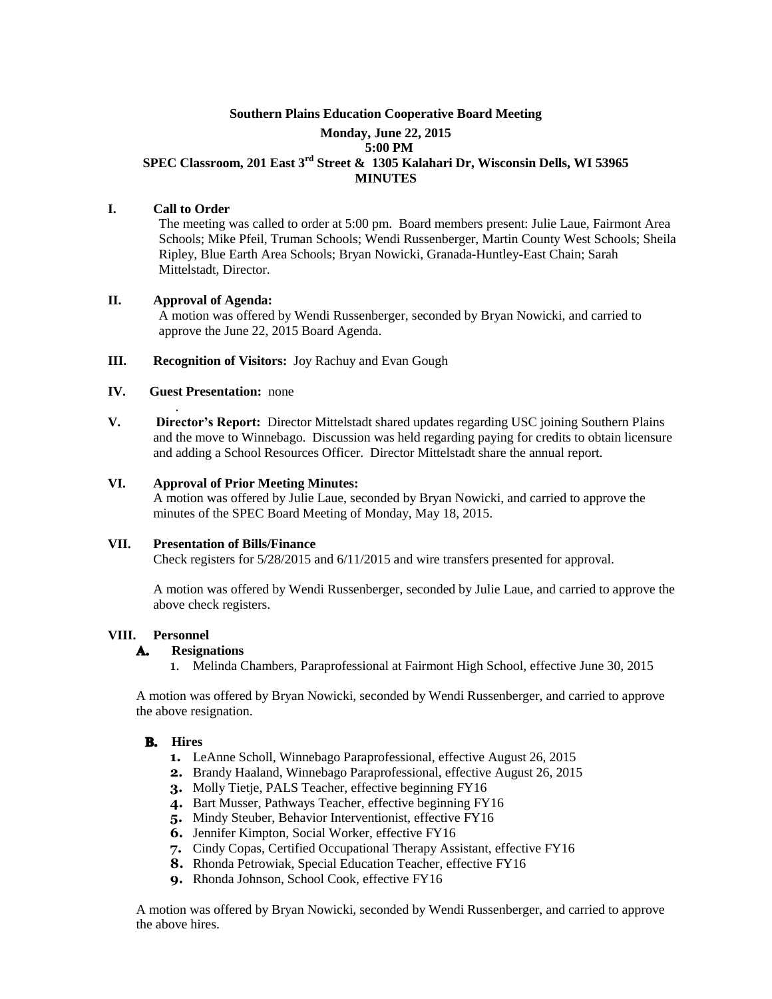# **Southern Plains Education Cooperative Board Meeting Monday, June 22, 2015 5:00 PM SPEC Classroom, 201 East 3rd Street & 1305 Kalahari Dr, Wisconsin Dells, WI 53965 MINUTES**

# **I. Call to Order**

The meeting was called to order at 5:00 pm. Board members present: Julie Laue, Fairmont Area Schools; Mike Pfeil, Truman Schools; Wendi Russenberger, Martin County West Schools; Sheila Ripley, Blue Earth Area Schools; Bryan Nowicki, Granada-Huntley-East Chain; Sarah Mittelstadt, Director.

## **II. Approval of Agenda:**

A motion was offered by Wendi Russenberger, seconded by Bryan Nowicki, and carried to approve the June 22, 2015 Board Agenda.

## **III. Recognition of Visitors:** Joy Rachuy and Evan Gough

## **IV. Guest Presentation:** none

.

**V. Director's Report:** Director Mittelstadt shared updates regarding USC joining Southern Plains and the move to Winnebago. Discussion was held regarding paying for credits to obtain licensure and adding a School Resources Officer. Director Mittelstadt share the annual report.

## **VI. Approval of Prior Meeting Minutes:**

A motion was offered by Julie Laue, seconded by Bryan Nowicki, and carried to approve the minutes of the SPEC Board Meeting of Monday, May 18, 2015.

#### **VII. Presentation of Bills/Finance**

Check registers for 5/28/2015 and 6/11/2015 and wire transfers presented for approval.

A motion was offered by Wendi Russenberger, seconded by Julie Laue, and carried to approve the above check registers.

## **VIII. Personnel**

#### A. **Resignations**

1. Melinda Chambers, Paraprofessional at Fairmont High School, effective June 30, 2015

A motion was offered by Bryan Nowicki, seconded by Wendi Russenberger, and carried to approve the above resignation.

#### **B.** Hires

- **1.** LeAnne Scholl, Winnebago Paraprofessional, effective August 26, 2015
- **2.** Brandy Haaland, Winnebago Paraprofessional, effective August 26, 2015
- **3.** Molly Tietje, PALS Teacher, effective beginning FY16
- **4.** Bart Musser, Pathways Teacher, effective beginning FY16
- **5.** Mindy Steuber, Behavior Interventionist, effective FY16
- **6.** Jennifer Kimpton, Social Worker, effective FY16
- **7.** Cindy Copas, Certified Occupational Therapy Assistant, effective FY16
- **8.** Rhonda Petrowiak, Special Education Teacher, effective FY16
- **9.** Rhonda Johnson, School Cook, effective FY16

A motion was offered by Bryan Nowicki, seconded by Wendi Russenberger, and carried to approve the above hires.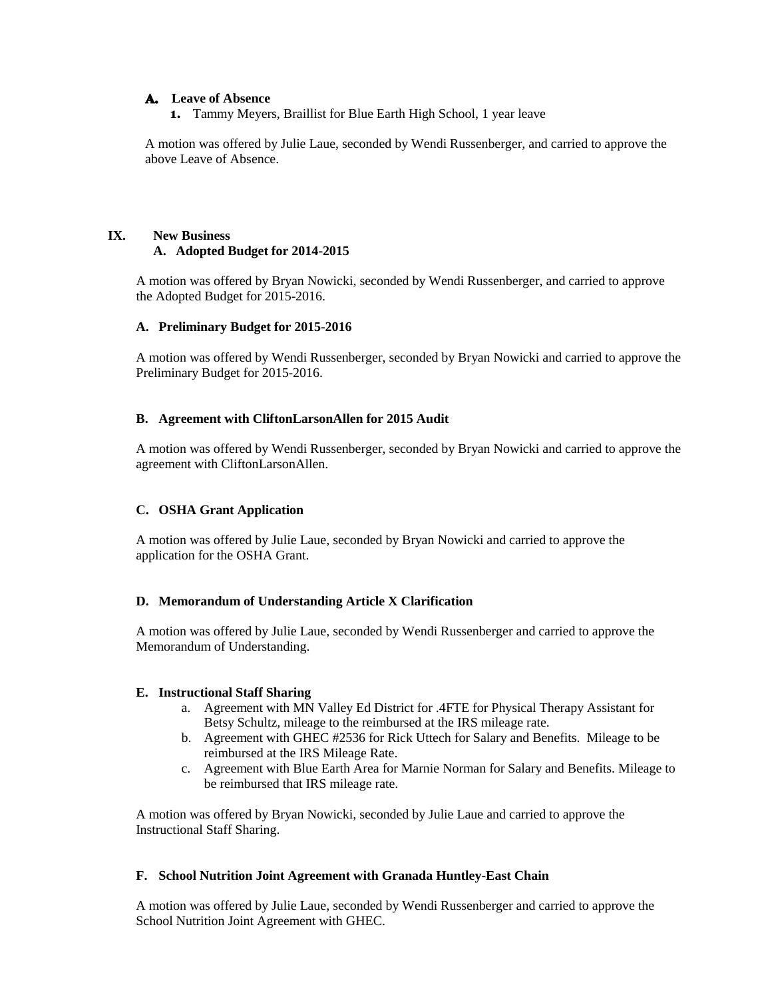## **Leave of Absence**

**1.** Tammy Meyers, Braillist for Blue Earth High School, 1 year leave

A motion was offered by Julie Laue, seconded by Wendi Russenberger, and carried to approve the above Leave of Absence.

# **IX. New Business A. Adopted Budget for 2014-2015**

A motion was offered by Bryan Nowicki, seconded by Wendi Russenberger, and carried to approve the Adopted Budget for 2015-2016.

# **A. Preliminary Budget for 2015-2016**

A motion was offered by Wendi Russenberger, seconded by Bryan Nowicki and carried to approve the Preliminary Budget for 2015-2016.

# **B. Agreement with CliftonLarsonAllen for 2015 Audit**

A motion was offered by Wendi Russenberger, seconded by Bryan Nowicki and carried to approve the agreement with CliftonLarsonAllen.

# **C. OSHA Grant Application**

A motion was offered by Julie Laue, seconded by Bryan Nowicki and carried to approve the application for the OSHA Grant.

# **D. Memorandum of Understanding Article X Clarification**

A motion was offered by Julie Laue, seconded by Wendi Russenberger and carried to approve the Memorandum of Understanding.

## **E. Instructional Staff Sharing**

- a. Agreement with MN Valley Ed District for .4FTE for Physical Therapy Assistant for Betsy Schultz, mileage to the reimbursed at the IRS mileage rate.
- b. Agreement with GHEC #2536 for Rick Uttech for Salary and Benefits. Mileage to be reimbursed at the IRS Mileage Rate.
- c. Agreement with Blue Earth Area for Marnie Norman for Salary and Benefits. Mileage to be reimbursed that IRS mileage rate.

A motion was offered by Bryan Nowicki, seconded by Julie Laue and carried to approve the Instructional Staff Sharing.

## **F. School Nutrition Joint Agreement with Granada Huntley-East Chain**

A motion was offered by Julie Laue, seconded by Wendi Russenberger and carried to approve the School Nutrition Joint Agreement with GHEC.